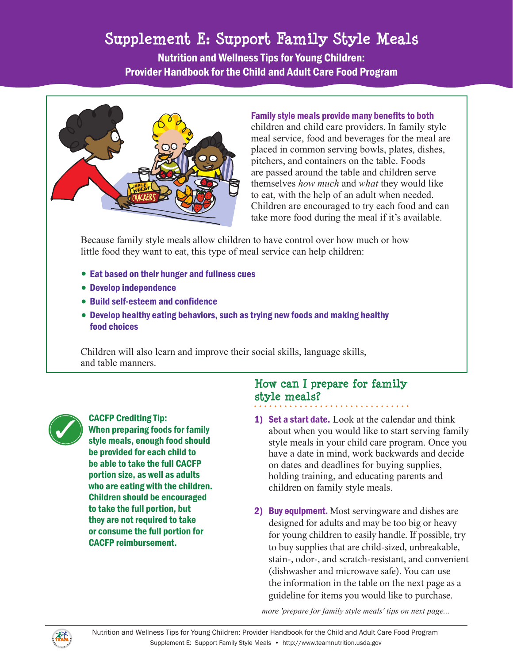# Supplement E: Support Family Style Meals **Supplement E: Support Family Style Meals**

Nutrition and Wellness Tips for Young Children: Provider Handbook for the Child and Adult Care Food Program



Family style meals provide many benefits to both

children and child care providers. In family style meal service, food and beverages for the meal are placed in common serving bowls, plates, dishes, pitchers, and containers on the table. Foods are passed around the table and children serve themselves *how much* and *what* they would like to eat, with the help of an adult when needed. Children are encouraged to try each food and can take more food during the meal if it's available.

Because family style meals allow children to have control over how much or how little food they want to eat, this type of meal service can help children:

- Eat based on their hunger and fullness cues
- Develop independence
- Build self-esteem and confidence
- Develop healthy eating behaviors, such as trying new foods and making healthy food choices

Children will also learn and improve their social skills, language skills, and table manners.



CACFP Crediting Tip:<br>When preparing foods<br>style meals enough f When preparing foods for family style meals, enough food should be provided for each child to be able to take the full CACFP portion size, as well as adults who are eating with the children. Children should be encouraged to take the full portion, but they are not required to take or consume the full portion for CACFP reimbursement.

## **How can I prepare for family style meals?**

- 1) Set a start date. Look at the calendar and think about when you would like to start serving family style meals in your child care program. Once you have a date in mind, work backwards and decide on dates and deadlines for buying supplies, holding training, and educating parents and children on family style meals.
- 2) Buy equipment. Most servingware and dishes are designed for adults and may be too big or heavy for young children to easily handle. If possible, try to buy supplies that are child-sized, unbreakable, stain-, odor-, and scratch-resistant, and convenient (dishwasher and microwave safe). You can use the information in the table on the next page as a guideline for items you would like to purchase.

*more 'prepare for family style meals' tips on next page...* 

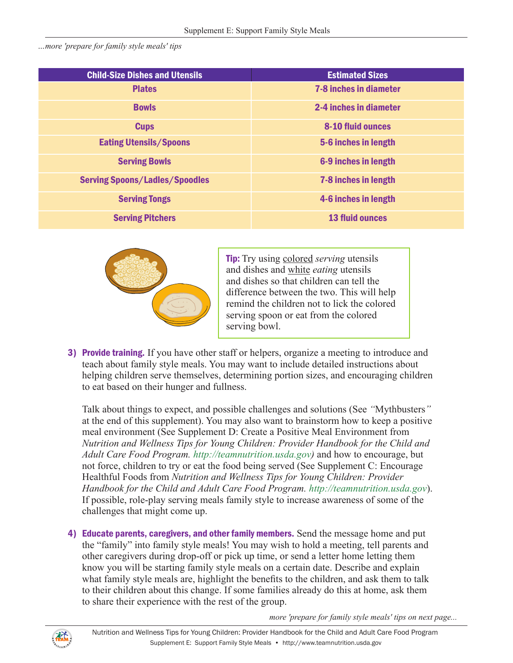*…more 'prepare for family style meals' tips* 

| <b>Child-Size Dishes and Utensils</b> | <b>Estimated Sizes</b>        |
|---------------------------------------|-------------------------------|
| <b>Plates</b>                         | <b>7-8 inches in diameter</b> |
| <b>Bowls</b>                          | 2-4 inches in diameter        |
| <b>Cups</b>                           | <b>8-10 fluid ounces</b>      |
| <b>Eating Utensils/Spoons</b>         | 5-6 inches in length          |
| <b>Serving Bowls</b>                  | 6-9 inches in length          |
| <b>Serving Spoons/Ladles/Spoodles</b> | 7-8 inches in length          |
| <b>Serving Tongs</b>                  | 4-6 inches in length          |
| <b>Serving Pitchers</b>               | <b>13 fluid ounces</b>        |



Tip: Try using colored *serving* utensils and dishes and white *eating* utensils and dishes so that children can tell the difference between the two. This will help remind the children not to lick the colored serving spoon or eat from the colored serving bowl.

3) Provide training. If you have other staff or helpers, organize a meeting to introduce and teach about family style meals. You may want to include detailed instructions about helping children serve themselves, determining portion sizes, and encouraging children to eat based on their hunger and fullness.

Talk about things to expect, and possible challenges and solutions (See *"*Mythbusters*"*  at the end of this supplement). You may also want to brainstorm how to keep a positive meal environment (See Supplement D: Create a Positive Meal Environment from *Nutrition and Wellness Tips for Young Children: Provider Handbook for the Child and Adult Care Food Program. <http://teamnutrition.usda.gov>)* and how to encourage, but not force, children to try or eat the food being served (See Supplement C: Encourage Healthful Foods from *Nutrition and Wellness Tips for Young Children: Provider Handbook for the Child and Adult Care Food Program. <http://teamnutrition.usda.gov>*). If possible, role-play serving meals family style to increase awareness of some of the challenges that might come up.

4) Educate parents, caregivers, and other family members. Send the message home and put the "family" into family style meals! You may wish to hold a meeting, tell parents and other caregivers during drop-off or pick up time, or send a letter home letting them know you will be starting family style meals on a certain date. Describe and explain what family style meals are, highlight the benefits to the children, and ask them to talk to their children about this change. If some families already do this at home, ask them to share their experience with the rest of the group.

*more 'prepare for family style meals' tips on next page...* 

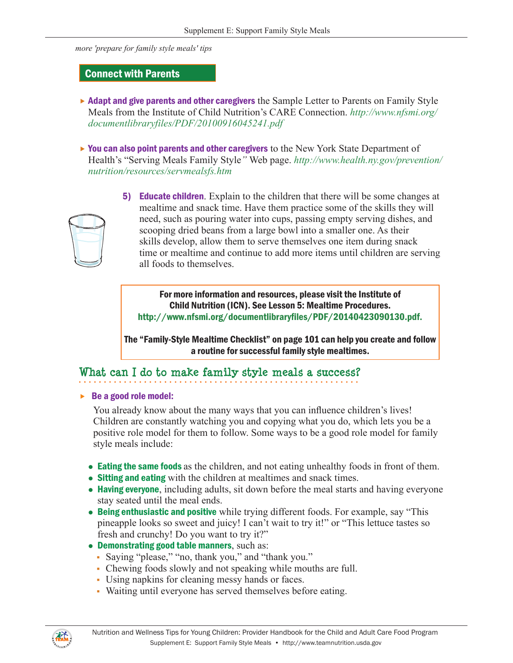*more 'prepare for family style meals' tips* 

#### Connect with Parents

- $\blacktriangleright$  Adapt and give parents and other caregivers the Sample Letter to Parents on Family Style Meals from the Institute of Child Nutrition's CARE Connection. *[http://www.nfsmi.org/](http://www.nfsmi.org/documentlibraryfiles/PDF/20100916045241.pdf) [documentlibraryfiles/PDF/20100916045241.pdf](http://www.nfsmi.org/documentlibraryfiles/PDF/20100916045241.pdf)*
- $\triangleright$  You can also point parents and other caregivers to the New York State Department of Health's "Serving Meals Family Style*"* Web page. *[http://www.health.ny.gov/prevention/](http://www.health.ny.gov/prevention/nutrition/resources/servmealsfs.htm) [nutrition/resources/servmealsfs.htm](http://www.health.ny.gov/prevention/nutrition/resources/servmealsfs.htm)*



5) Educate children. Explain to the children that there will be some changes at mealtime and snack time. Have them practice some of the skills they will need, such as pouring water into cups, passing empty serving dishes, and scooping dried beans from a large bowl into a smaller one. As their skills develop, allow them to serve themselves one item during snack time or mealtime and continue to add more items until children are serving all foods to themselves.

For more information and resources, please visit the Institute of Child Nutrition (ICN). See Lesson 5: Mealtime Procedures. <http://www.nfsmi.org/documentlibraryfiles/PDF/20140423090130.pdf>.

The "Family-Style Mealtime Checklist" on page 101 can help you create and follow a routine for successful family style mealtimes.

## **What can I do to make family style meals a success?**

 $\triangleright$  Be a good role model:

You already know about the many ways that you can influence children's lives! Children are constantly watching you and copying what you do, which lets you be a positive role model for them to follow. Some ways to be a good role model for family style meals include:

- Eating the same foods as the children, and not eating unhealthy foods in front of them.
- Sitting and eating with the children at mealtimes and snack times.
- Having everyone, including adults, sit down before the meal starts and having everyone stay seated until the meal ends.
- $\bullet$  Being enthusiastic and positive while trying different foods. For example, say "This pineapple looks so sweet and juicy! I can't wait to try it!" or "This lettuce tastes so fresh and crunchy! Do you want to try it?"
- Demonstrating good table manners, such as:
	- Saying "please," "no, thank you," and "thank you."
	- Chewing foods slowly and not speaking while mouths are full.
	- Using napkins for cleaning messy hands or faces.
	- Waiting until everyone has served themselves before eating.

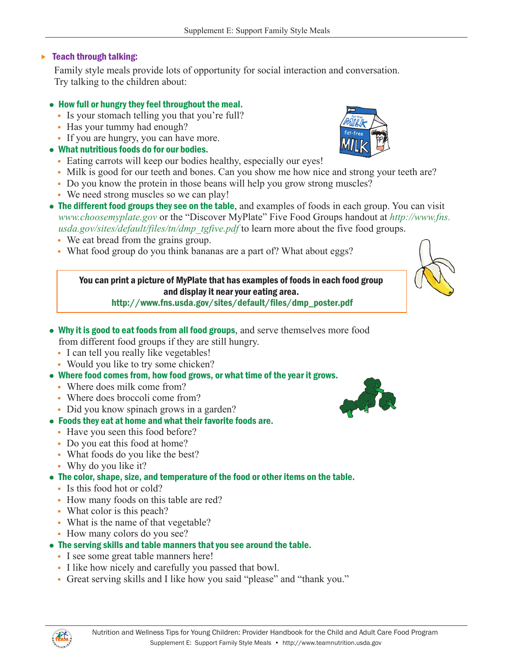#### $\blacktriangleright$  Teach through talking:

Family style meals provide lots of opportunity for social interaction and conversation. Try talking to the children about:

#### • How full or hungry they feel throughout the meal.

- Is your stomach telling you that you're full?
- Has your tummy had enough?
- If you are hungry, you can have more.

### • What nutritious foods do for our bodies.

- Eating carrots will keep our bodies healthy, especially our eyes!
- Milk is good for our teeth and bones. Can you show me how nice and strong your teeth are?
- Do you know the protein in those beans will help you grow strong muscles?
- We need strong muscles so we can play!
- The different food groups they see on the table, and examples of foods in each group. You can visit *[www.choosemyplate.gov](http://www.choosemyplate.gov)* or the "Discover MyPlate" Five Food Groups handout at *[http://www.fns.](http://www.fns.usda.gov/sites/default/files/tn/dmp_tgfive.pdf) [usda.gov/sites/default/files/tn/dmp\\_tgfive.pdf](http://www.fns.usda.gov/sites/default/files/tn/dmp_tgfive.pdf)* to learn more about the five food groups.
	- We eat bread from the grains group.
	- What food group do you think bananas are a part of? What about eggs?

You can print a picture of MyPlate that has examples of foods in each food group and display it near your eating area.





- Why it is good to eat foods from all food groups, and serve themselves more food from different food groups if they are still hungry.
	- I can tell you really like vegetables!
	- Would you like to try some chicken?
- Where food comes from, how food grows, or what time of the year it grows.
	- Where does milk come from?
	- Where does broccoli come from?
	- Did you know spinach grows in a garden?

### • Foods they eat at home and what their favorite foods are.

- Have you seen this food before?
- Do you eat this food at home?
- What foods do you like the best?
- Why do you like it?
- The color, shape, size, and temperature of the food or other items on the table.
	- Is this food hot or cold?
	- How many foods on this table are red?
	- What color is this peach?
	- What is the name of that vegetable?
	- How many colors do you see?
- The serving skills and table manners that you see around the table.
	- I see some great table manners here!
	- I like how nicely and carefully you passed that bowl.
	- Great serving skills and I like how you said "please" and "thank you."





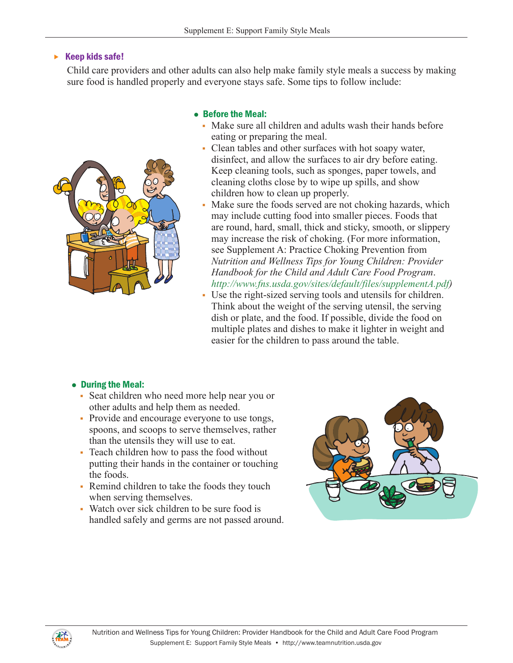#### $\triangleright$  Keep kids safe!

Child care providers and other adults can also help make family style meals a success by making sure food is handled properly and everyone stays safe. Some tips to follow include:



#### • Before the Meal:

- Make sure all children and adults wash their hands before eating or preparing the meal.
- Clean tables and other surfaces with hot soapy water, disinfect, and allow the surfaces to air dry before eating. Keep cleaning tools, such as sponges, paper towels, and cleaning cloths close by to wipe up spills, and show children how to clean up properly.
- Make sure the foods served are not choking hazards, which may include cutting food into smaller pieces. Foods that are round, hard, small, thick and sticky, smooth, or slippery may increase the risk of choking. (For more information, see Supplement A: Practice Choking Prevention from *Nutrition and Wellness Tips for Young Children: Provider Handbook for the Child and Adult Care Food Program*. *<http://www.fns.usda.gov/sites/default/files/supplementA.pdf>)*
- Use the right-sized serving tools and utensils for children. Think about the weight of the serving utensil, the serving dish or plate, and the food. If possible, divide the food on multiple plates and dishes to make it lighter in weight and easier for the children to pass around the table.

#### • During the Meal:

- Seat children who need more help near you or other adults and help them as needed.
- Provide and encourage everyone to use tongs, spoons, and scoops to serve themselves, rather than the utensils they will use to eat.
- Teach children how to pass the food without putting their hands in the container or touching the foods.
- Remind children to take the foods they touch when serving themselves.
- Watch over sick children to be sure food is handled safely and germs are not passed around.



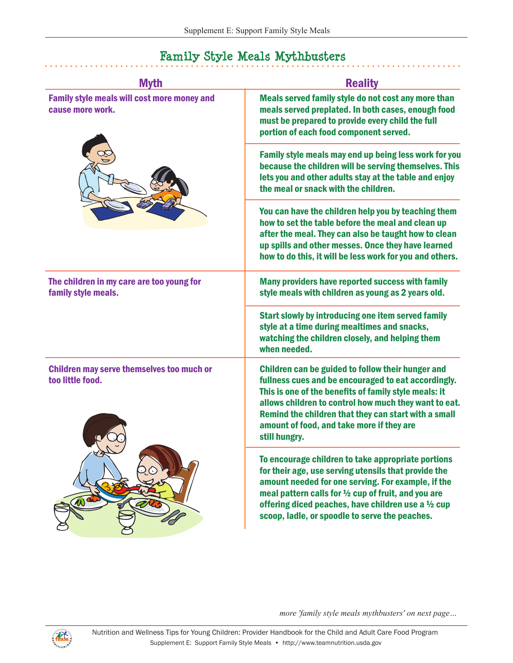#### Myth **Reality**  $\overline{a}$ Family style meals will cost more money and cause more work. Meals served family style do not cost any more than meals served preplated. In both cases, enough food must be prepared to provide every child the full portion of each food component served. Family style meals may end up being less work for you because the children will be serving themselves. This lets you and other adults stay at the table and enjoy the meal or snack with the children. You can have the children help you by teaching them how to set the table before the meal and clean up after the meal. They can also be taught how to clean up spills and other messes. Once they have learned how to do this, it will be less work for you and others. The children in my care are too young for family style meals. Many providers have reported success with family style meals with children as young as 2 years old. Start slowly by introducing one item served family style at a time during mealtimes and snacks, watching the children closely, and helping them when needed. Children may serve themselves too much or too little food. Children can be guided to follow their hunger and fullness cues and be encouraged to eat accordingly. This is one of the benefits of family style meals: it





To encourage children to take appropriate portions for their age, use serving utensils that provide the amount needed for one serving. For example, if the meal pattern calls for ½ cup of fruit, and you are offering diced peaches, have children use a  $\frac{1}{2}$  cup scoop, ladle, or spoodle to serve the peaches.

allows children to control how much they want to eat. Remind the children that they can start with a small

amount of food, and take more if they are

*more 'family style meals mythbusters' on next page…* 

still hungry.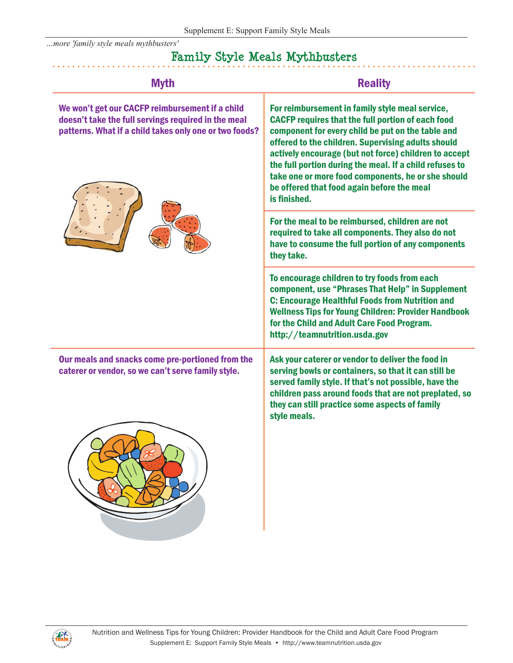*…more 'family style meals mythbusters'* 

## **Family Style Meals Mythbusters**

 $\ddot{\phantom{a}}$ 

| <b>Myth</b>                                                                                                                                                      | <b>Reality</b>                                                                                                                                                                                                                                                                                                                                                                                                                                                 |
|------------------------------------------------------------------------------------------------------------------------------------------------------------------|----------------------------------------------------------------------------------------------------------------------------------------------------------------------------------------------------------------------------------------------------------------------------------------------------------------------------------------------------------------------------------------------------------------------------------------------------------------|
| We won't get our CACFP reimbursement if a child<br>doesn't take the full servings required in the meal<br>patterns. What if a child takes only one or two foods? | For reimbursement in family style meal service,<br><b>CACFP requires that the full portion of each food</b><br>component for every child be put on the table and<br>offered to the children. Supervising adults should<br>actively encourage (but not force) children to accept<br>the full portion during the meal. If a child refuses to<br>take one or more food components, he or she should<br>be offered that food again before the meal<br>is finished. |
|                                                                                                                                                                  | For the meal to be reimbursed, children are not<br>required to take all components. They also do not<br>have to consume the full portion of any components<br>they take.                                                                                                                                                                                                                                                                                       |
|                                                                                                                                                                  | To encourage children to try foods from each<br>component, use "Phrases That Help" in Supplement<br><b>C: Encourage Healthful Foods from Nutrition and</b><br><b>Wellness Tips for Young Children: Provider Handbook</b><br>for the Child and Adult Care Food Program.<br>http://teamnutrition.usda.gov                                                                                                                                                        |
| Our meals and snacks come pre-portioned from the<br>caterer or vendor, so we can't serve family style.                                                           | Ask your caterer or vendor to deliver the food in<br>serving bowls or containers, so that it can still be<br>served family style. If that's not possible, have the<br>children pass around foods that are not preplated, so<br>they can still practice some aspects of family<br>style meals.                                                                                                                                                                  |
|                                                                                                                                                                  |                                                                                                                                                                                                                                                                                                                                                                                                                                                                |